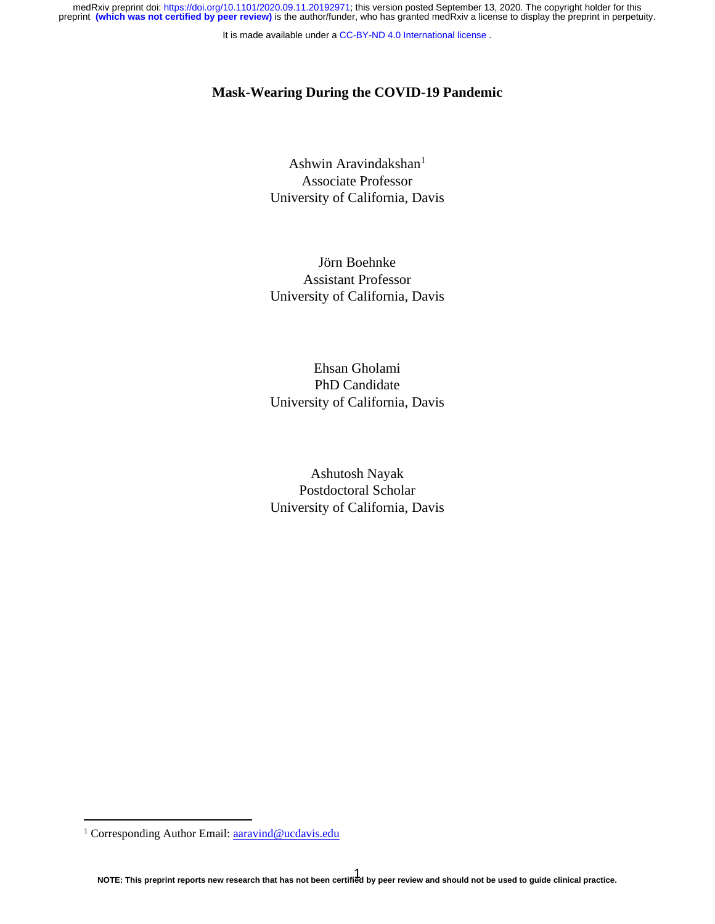medRxiv preprint doi: [https://doi.org/10.1101/2020.09.11.20192971;](https://doi.org/10.1101/2020.09.11.20192971) this version posted September 13, 2020. The copyright holder for this<br>preprint (which was not certified by peer review) is the author/funder, who has grant

It is made available under a [CC-BY-ND 4.0 International license](http://creativecommons.org/licenses/by-nd/4.0/) .

### **Mask-Wearing During the COVID-19 Pandemic**

Ashwin Aravindakshan<sup>1</sup> Associate Professor University of California, Davis

Jörn Boehnke Assistant Professor University of California, Davis

Ehsan Gholami PhD Candidate University of California, Davis

Ashutosh Nayak Postdoctoral Scholar University of California, Davis

<sup>&</sup>lt;sup>1</sup> Corresponding Author Email[: aaravind@ucdavis.edu](mailto:aaravind@ucdavis.edu)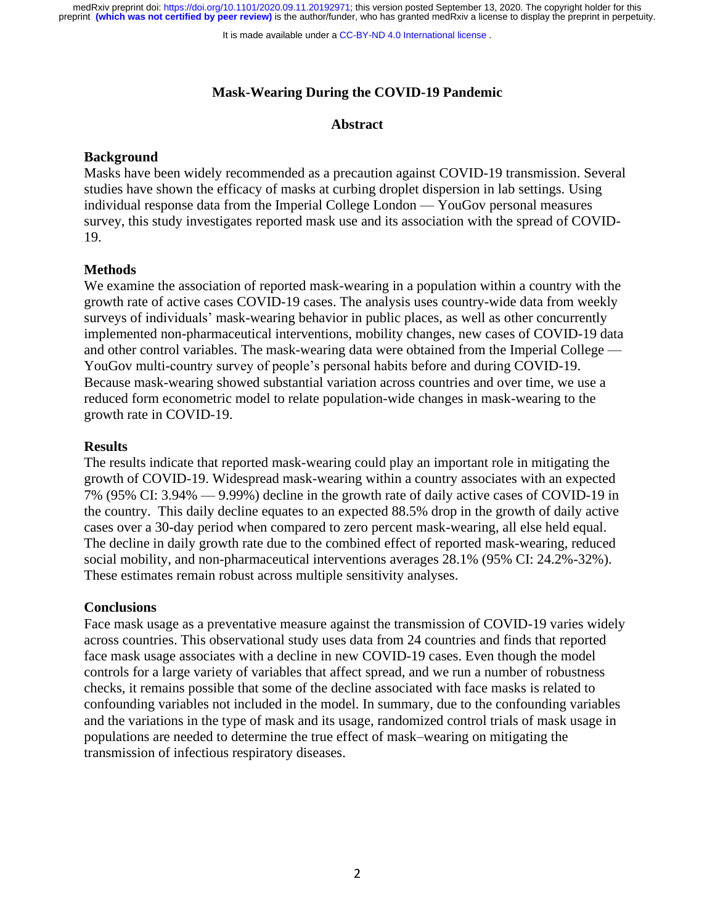It is made available under a [CC-BY-ND 4.0 International license](http://creativecommons.org/licenses/by-nd/4.0/) .

# **Mask-Wearing During the COVID-19 Pandemic**

# **Abstract**

# **Background**

Masks have been widely recommended as a precaution against COVID-19 transmission. Several studies have shown the efficacy of masks at curbing droplet dispersion in lab settings. Using individual response data from the Imperial College London — YouGov personal measures survey, this study investigates reported mask use and its association with the spread of COVID-19.

# **Methods**

We examine the association of reported mask-wearing in a population within a country with the growth rate of active cases COVID-19 cases. The analysis uses country-wide data from weekly surveys of individuals' mask-wearing behavior in public places, as well as other concurrently implemented non-pharmaceutical interventions, mobility changes, new cases of COVID-19 data and other control variables. The mask-wearing data were obtained from the Imperial College — YouGov multi-country survey of people's personal habits before and during COVID-19. Because mask-wearing showed substantial variation across countries and over time, we use a reduced form econometric model to relate population-wide changes in mask-wearing to the growth rate in COVID-19.

# **Results**

The results indicate that reported mask-wearing could play an important role in mitigating the growth of COVID-19. Widespread mask-wearing within a country associates with an expected 7% (95% CI: 3.94% — 9.99%) decline in the growth rate of daily active cases of COVID-19 in the country. This daily decline equates to an expected 88.5% drop in the growth of daily active cases over a 30-day period when compared to zero percent mask-wearing, all else held equal. The decline in daily growth rate due to the combined effect of reported mask-wearing, reduced social mobility, and non-pharmaceutical interventions averages 28.1% (95% CI: 24.2%-32%). These estimates remain robust across multiple sensitivity analyses.

# **Conclusions**

Face mask usage as a preventative measure against the transmission of COVID-19 varies widely across countries. This observational study uses data from 24 countries and finds that reported face mask usage associates with a decline in new COVID-19 cases. Even though the model controls for a large variety of variables that affect spread, and we run a number of robustness checks, it remains possible that some of the decline associated with face masks is related to confounding variables not included in the model. In summary, due to the confounding variables and the variations in the type of mask and its usage, randomized control trials of mask usage in populations are needed to determine the true effect of mask–wearing on mitigating the transmission of infectious respiratory diseases.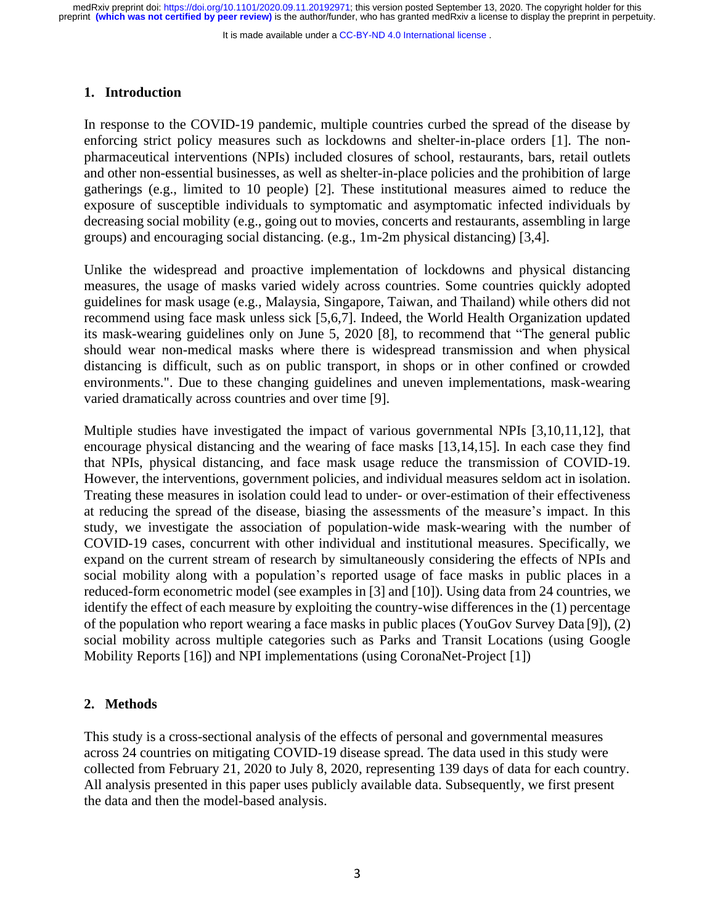It is made available under a [CC-BY-ND 4.0 International license](http://creativecommons.org/licenses/by-nd/4.0/) .

### **1. Introduction**

In response to the COVID-19 pandemic, multiple countries curbed the spread of the disease by enforcing strict policy measures such as lockdowns and shelter-in-place orders [1]. The nonpharmaceutical interventions (NPIs) included closures of school, restaurants, bars, retail outlets and other non-essential businesses, as well as shelter-in-place policies and the prohibition of large gatherings (e.g., limited to 10 people) [2]. These institutional measures aimed to reduce the exposure of susceptible individuals to symptomatic and asymptomatic infected individuals by decreasing social mobility (e.g., going out to movies, concerts and restaurants, assembling in large groups) and encouraging social distancing. (e.g., 1m-2m physical distancing) [3,4].

Unlike the widespread and proactive implementation of lockdowns and physical distancing measures, the usage of masks varied widely across countries. Some countries quickly adopted guidelines for mask usage (e.g., Malaysia, Singapore, Taiwan, and Thailand) while others did not recommend using face mask unless sick [5,6,7]. Indeed, the World Health Organization updated its mask-wearing guidelines only on June 5, 2020 [8], to recommend that "The general public should wear non-medical masks where there is widespread transmission and when physical distancing is difficult, such as on public transport, in shops or in other confined or crowded environments.". Due to these changing guidelines and uneven implementations, mask-wearing varied dramatically across countries and over time [9].

Multiple studies have investigated the impact of various governmental NPIs [3,10,11,12], that encourage physical distancing and the wearing of face masks [13,14,15]. In each case they find that NPIs, physical distancing, and face mask usage reduce the transmission of COVID-19. However, the interventions, government policies, and individual measures seldom act in isolation. Treating these measures in isolation could lead to under- or over-estimation of their effectiveness at reducing the spread of the disease, biasing the assessments of the measure's impact. In this study, we investigate the association of population-wide mask-wearing with the number of COVID-19 cases, concurrent with other individual and institutional measures. Specifically, we expand on the current stream of research by simultaneously considering the effects of NPIs and social mobility along with a population's reported usage of face masks in public places in a reduced-form econometric model (see examples in [3] and [10]). Using data from 24 countries, we identify the effect of each measure by exploiting the country-wise differences in the (1) percentage of the population who report wearing a face masks in public places (YouGov Survey Data [9]), (2) social mobility across multiple categories such as Parks and Transit Locations (using Google Mobility Reports [16]) and NPI implementations (using CoronaNet-Project [1])

# **2. Methods**

This study is a cross-sectional analysis of the effects of personal and governmental measures across 24 countries on mitigating COVID-19 disease spread. The data used in this study were collected from February 21, 2020 to July 8, 2020, representing 139 days of data for each country. All analysis presented in this paper uses publicly available data. Subsequently, we first present the data and then the model-based analysis.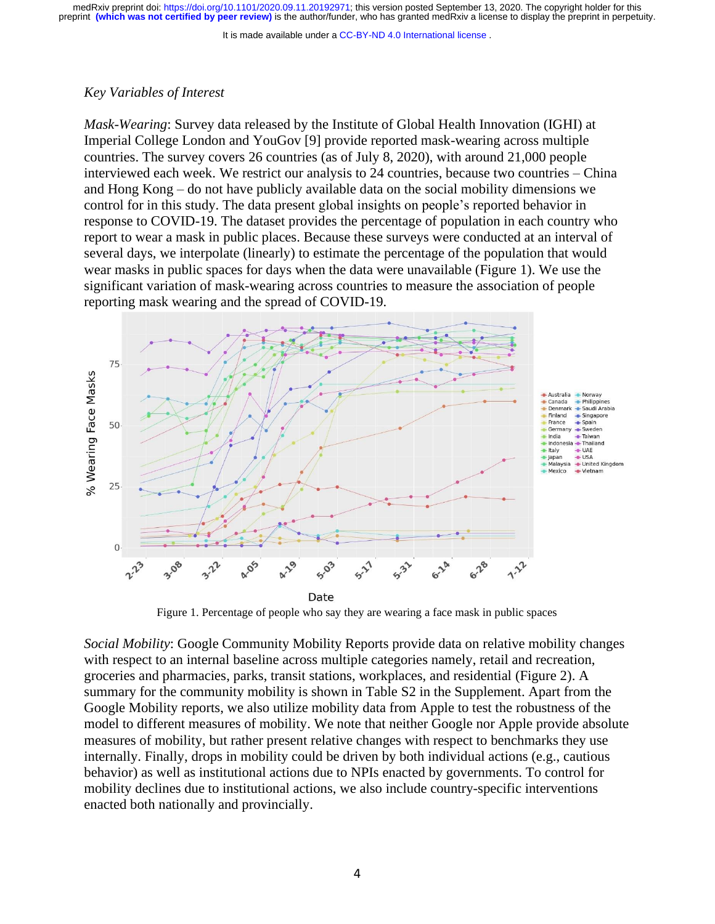It is made available under a [CC-BY-ND 4.0 International license](http://creativecommons.org/licenses/by-nd/4.0/) .

# *Key Variables of Interest*

*Mask-Wearing*: Survey data released by the Institute of Global Health Innovation (IGHI) at Imperial College London and YouGov [9] provide reported mask-wearing across multiple countries. The survey covers 26 countries (as of July 8, 2020), with around 21,000 people interviewed each week. We restrict our analysis to 24 countries, because two countries – China and Hong Kong – do not have publicly available data on the social mobility dimensions we control for in this study. The data present global insights on people's reported behavior in response to COVID-19. The dataset provides the percentage of population in each country who report to wear a mask in public places. Because these surveys were conducted at an interval of several days, we interpolate (linearly) to estimate the percentage of the population that would wear masks in public spaces for days when the data were unavailable (Figure 1). We use the significant variation of mask-wearing across countries to measure the association of people reporting mask wearing and the spread of COVID-19.



Figure 1. Percentage of people who say they are wearing a face mask in public spaces

*Social Mobility*: Google Community Mobility Reports provide data on relative mobility changes with respect to an internal baseline across multiple categories namely, retail and recreation, groceries and pharmacies, parks, transit stations, workplaces, and residential (Figure 2). A summary for the community mobility is shown in Table S2 in the Supplement. Apart from the Google Mobility reports, we also utilize mobility data from Apple to test the robustness of the model to different measures of mobility. We note that neither Google nor Apple provide absolute measures of mobility, but rather present relative changes with respect to benchmarks they use internally. Finally, drops in mobility could be driven by both individual actions (e.g., cautious behavior) as well as institutional actions due to NPIs enacted by governments. To control for mobility declines due to institutional actions, we also include country-specific interventions enacted both nationally and provincially.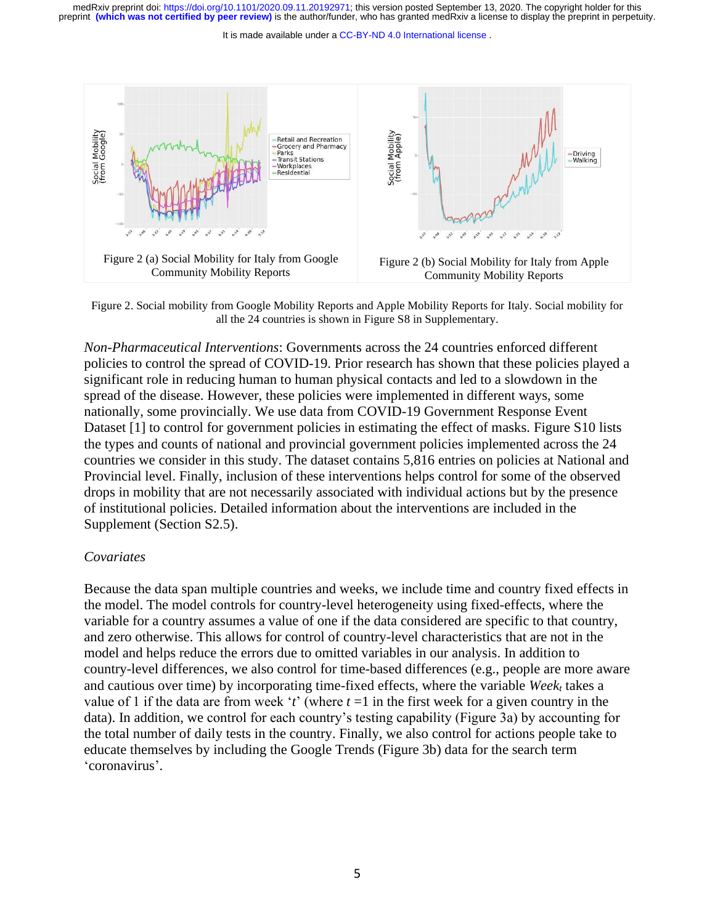It is made available under a [CC-BY-ND 4.0 International license](http://creativecommons.org/licenses/by-nd/4.0/) .



Figure 2. Social mobility from Google Mobility Reports and Apple Mobility Reports for Italy. Social mobility for all the 24 countries is shown in Figure S8 in Supplementary.

*Non-Pharmaceutical Interventions*: Governments across the 24 countries enforced different policies to control the spread of COVID-19. Prior research has shown that these policies played a significant role in reducing human to human physical contacts and led to a slowdown in the spread of the disease. However, these policies were implemented in different ways, some nationally, some provincially. We use data from COVID-19 Government Response Event Dataset [1] to control for government policies in estimating the effect of masks. Figure S10 lists the types and counts of national and provincial government policies implemented across the 24 countries we consider in this study. The dataset contains 5,816 entries on policies at National and Provincial level. Finally, inclusion of these interventions helps control for some of the observed drops in mobility that are not necessarily associated with individual actions but by the presence of institutional policies. Detailed information about the interventions are included in the Supplement (Section S2.5).

### *Covariates*

Because the data span multiple countries and weeks, we include time and country fixed effects in the model. The model controls for country-level heterogeneity using fixed-effects, where the variable for a country assumes a value of one if the data considered are specific to that country, and zero otherwise. This allows for control of country-level characteristics that are not in the model and helps reduce the errors due to omitted variables in our analysis. In addition to country-level differences, we also control for time-based differences (e.g., people are more aware and cautious over time) by incorporating time-fixed effects, where the variable *Week<sup>t</sup>* takes a value of 1 if the data are from week '*t*' (where  $t = 1$  in the first week for a given country in the data). In addition, we control for each country's testing capability (Figure 3a) by accounting for the total number of daily tests in the country. Finally, we also control for actions people take to educate themselves by including the Google Trends (Figure 3b) data for the search term 'coronavirus'.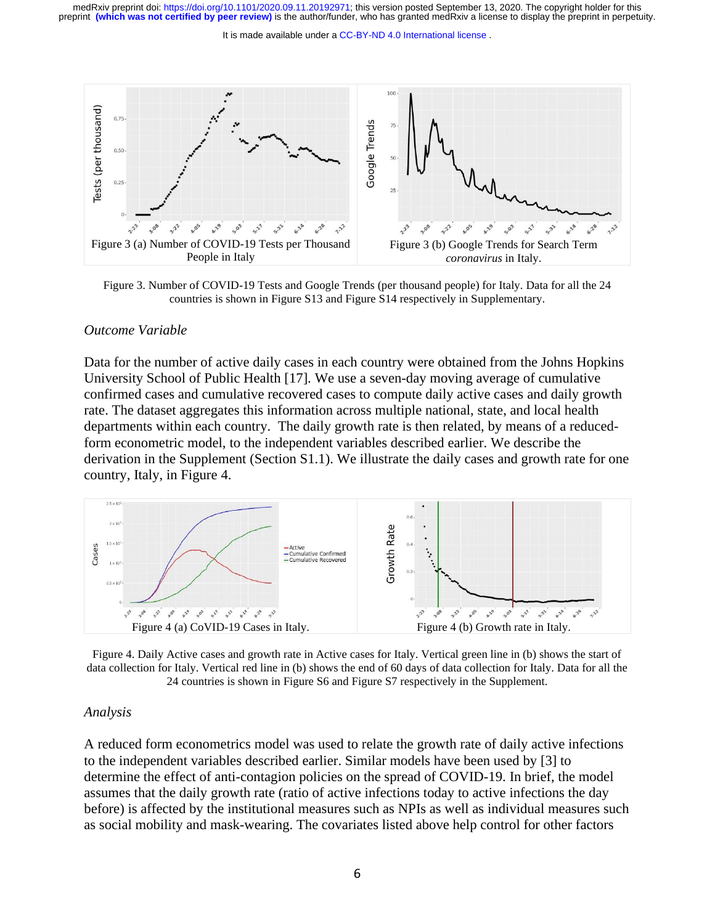#### It is made available under a [CC-BY-ND 4.0 International license](http://creativecommons.org/licenses/by-nd/4.0/) .



Figure 3. Number of COVID-19 Tests and Google Trends (per thousand people) for Italy. Data for all the 24 countries is shown in Figure S13 and Figure S14 respectively in Supplementary.

#### *Outcome Variable*

Data for the number of active daily cases in each country were obtained from the Johns Hopkins University School of Public Health [17]. We use a seven-day moving average of cumulative confirmed cases and cumulative recovered cases to compute daily active cases and daily growth rate. The dataset aggregates this information across multiple national, state, and local health departments within each country. The daily growth rate is then related, by means of a reducedform econometric model, to the independent variables described earlier. We describe the derivation in the Supplement (Section S1.1). We illustrate the daily cases and growth rate for one country, Italy, in Figure 4.



Figure 4. Daily Active cases and growth rate in Active cases for Italy. Vertical green line in (b) shows the start of data collection for Italy. Vertical red line in (b) shows the end of 60 days of data collection for Italy. Data for all the 24 countries is shown in Figure S6 and Figure S7 respectively in the Supplement.

### *Analysis*

A reduced form econometrics model was used to relate the growth rate of daily active infections to the independent variables described earlier. Similar models have been used by [3] to determine the effect of anti-contagion policies on the spread of COVID-19. In brief, the model assumes that the daily growth rate (ratio of active infections today to active infections the day before) is affected by the institutional measures such as NPIs as well as individual measures such as social mobility and mask-wearing. The covariates listed above help control for other factors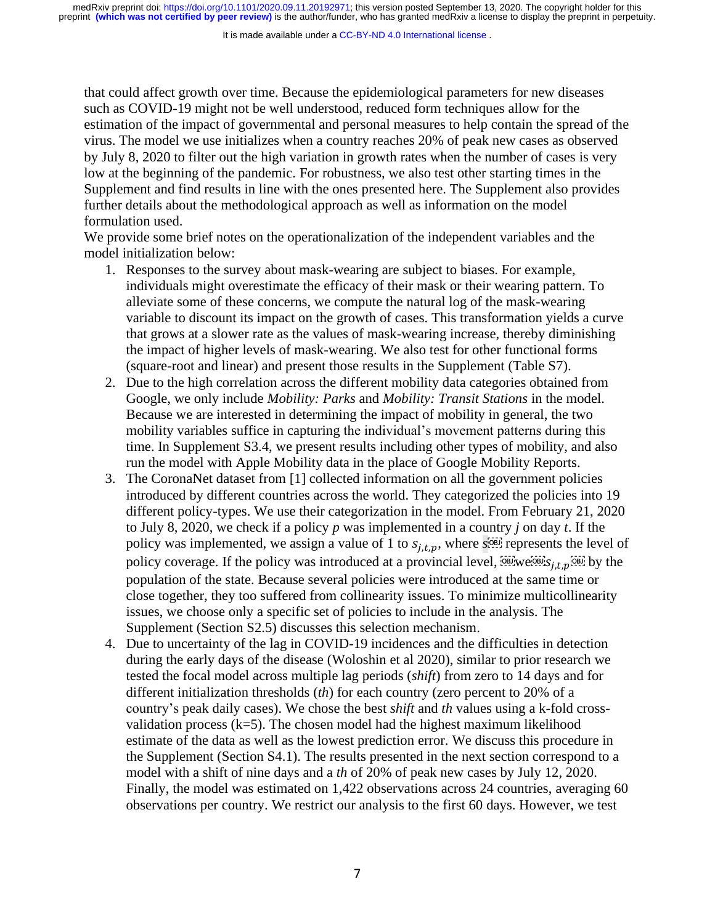that could affect growth over time. Because the epidemiological parameters for new diseases such as COVID-19 might not be well understood, reduced form techniques allow for the estimation of the impact of governmental and personal measures to help contain the spread of the virus. The model we use initializes when a country reaches 20% of peak new cases as observed by July 8, 2020 to filter out the high variation in growth rates when the number of cases is very low at the beginning of the pandemic. For robustness, we also test other starting times in the Supplement and find results in line with the ones presented here. The Supplement also provides further details about the methodological approach as well as information on the model formulation used.

We provide some brief notes on the operationalization of the independent variables and the model initialization below:

- 1. Responses to the survey about mask-wearing are subject to biases. For example, individuals might overestimate the efficacy of their mask or their wearing pattern. To alleviate some of these concerns, we compute the natural log of the mask-wearing variable to discount its impact on the growth of cases. This transformation yields a curve that grows at a slower rate as the values of mask-wearing increase, thereby diminishing the impact of higher levels of mask-wearing. We also test for other functional forms (square-root and linear) and present those results in the Supplement (Table S7).
- 2. Due to the high correlation across the different mobility data categories obtained from Google, we only include *Mobility: Parks* and *Mobility: Transit Stations* in the model. Because we are interested in determining the impact of mobility in general, the two mobility variables suffice in capturing the individual's movement patterns during this time. In Supplement S3.4, we present results including other types of mobility, and also run the model with Apple Mobility data in the place of Google Mobility Reports.
- 3. The CoronaNet dataset from [1] collected information on all the government policies introduced by different countries across the world. They categorized the policies into 19 different policy-types. We use their categorization in the model. From February 21, 2020 to July 8, 2020, we check if a policy *p* was implemented in a country *j* on day *t*. If the policy was implemented, we assign a value of 1 to  $s_{i,t,p}$ , where  $s_{i}^{[0B]}$  represents the level of policy coverage. If the policy was introduced at a provincial level,  $\overline{\text{QEDW}}$   $\text{QEDW}$  by the population of the state. Because several policies were introduced at the same time or close together, they too suffered from collinearity issues. To minimize multicollinearity issues, we choose only a specific set of policies to include in the analysis. The Supplement (Section S2.5) discusses this selection mechanism.
- 4. Due to uncertainty of the lag in COVID-19 incidences and the difficulties in detection during the early days of the disease (Woloshin et al 2020), similar to prior research we tested the focal model across multiple lag periods (*shift*) from zero to 14 days and for different initialization thresholds (*th*) for each country (zero percent to 20% of a country's peak daily cases). We chose the best *shift* and *th* values using a k-fold crossvalidation process  $(k=5)$ . The chosen model had the highest maximum likelihood estimate of the data as well as the lowest prediction error. We discuss this procedure in the Supplement (Section S4.1). The results presented in the next section correspond to a model with a shift of nine days and a *th* of 20% of peak new cases by July 12, 2020. Finally, the model was estimated on 1,422 observations across 24 countries, averaging 60 observations per country. We restrict our analysis to the first 60 days. However, we test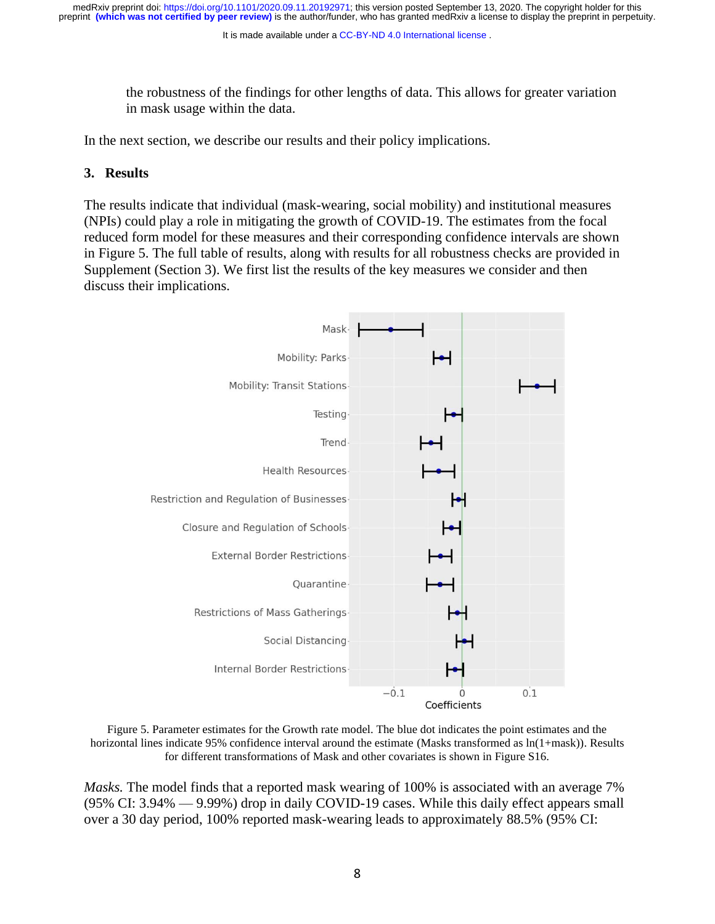It is made available under a [CC-BY-ND 4.0 International license](http://creativecommons.org/licenses/by-nd/4.0/) .

the robustness of the findings for other lengths of data. This allows for greater variation in mask usage within the data.

In the next section, we describe our results and their policy implications.

# **3. Results**

The results indicate that individual (mask-wearing, social mobility) and institutional measures (NPIs) could play a role in mitigating the growth of COVID-19. The estimates from the focal reduced form model for these measures and their corresponding confidence intervals are shown in Figure 5. The full table of results, along with results for all robustness checks are provided in Supplement (Section 3). We first list the results of the key measures we consider and then discuss their implications.



Figure 5. Parameter estimates for the Growth rate model. The blue dot indicates the point estimates and the horizontal lines indicate 95% confidence interval around the estimate (Masks transformed as  $ln(1+mask)$ ). Results for different transformations of Mask and other covariates is shown in Figure S16.

*Masks.* The model finds that a reported mask wearing of 100% is associated with an average 7% (95% CI: 3.94% — 9.99%) drop in daily COVID-19 cases. While this daily effect appears small over a 30 day period, 100% reported mask-wearing leads to approximately 88.5% (95% CI: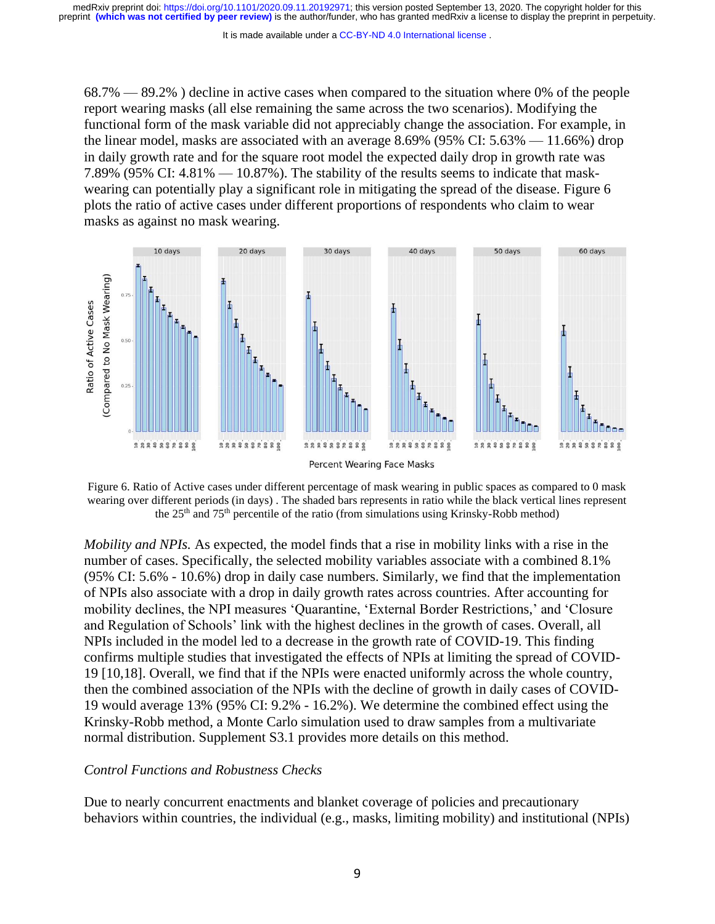It is made available under a [CC-BY-ND 4.0 International license](http://creativecommons.org/licenses/by-nd/4.0/) .

 $68.7\%$  —  $89.2\%$ ) decline in active cases when compared to the situation where 0% of the people report wearing masks (all else remaining the same across the two scenarios). Modifying the functional form of the mask variable did not appreciably change the association. For example, in the linear model, masks are associated with an average 8.69% (95% CI: 5.63% — 11.66%) drop in daily growth rate and for the square root model the expected daily drop in growth rate was 7.89% (95% CI:  $4.81\% - 10.87\%$ ). The stability of the results seems to indicate that maskwearing can potentially play a significant role in mitigating the spread of the disease. Figure 6 plots the ratio of active cases under different proportions of respondents who claim to wear masks as against no mask wearing.



Figure 6. Ratio of Active cases under different percentage of mask wearing in public spaces as compared to 0 mask wearing over different periods (in days) . The shaded bars represents in ratio while the black vertical lines represent the 25<sup>th</sup> and 75<sup>th</sup> percentile of the ratio (from simulations using Krinsky-Robb method)

*Mobility and NPIs.* As expected, the model finds that a rise in mobility links with a rise in the number of cases. Specifically, the selected mobility variables associate with a combined 8.1% (95% CI: 5.6% - 10.6%) drop in daily case numbers. Similarly, we find that the implementation of NPIs also associate with a drop in daily growth rates across countries. After accounting for mobility declines, the NPI measures 'Quarantine, 'External Border Restrictions,' and 'Closure and Regulation of Schools' link with the highest declines in the growth of cases. Overall, all NPIs included in the model led to a decrease in the growth rate of COVID-19. This finding confirms multiple studies that investigated the effects of NPIs at limiting the spread of COVID-19 [10,18]. Overall, we find that if the NPIs were enacted uniformly across the whole country, then the combined association of the NPIs with the decline of growth in daily cases of COVID-19 would average 13% (95% CI: 9.2% - 16.2%). We determine the combined effect using the Krinsky-Robb method, a Monte Carlo simulation used to draw samples from a multivariate normal distribution. Supplement S3.1 provides more details on this method.

### *Control Functions and Robustness Checks*

Due to nearly concurrent enactments and blanket coverage of policies and precautionary behaviors within countries, the individual (e.g., masks, limiting mobility) and institutional (NPIs)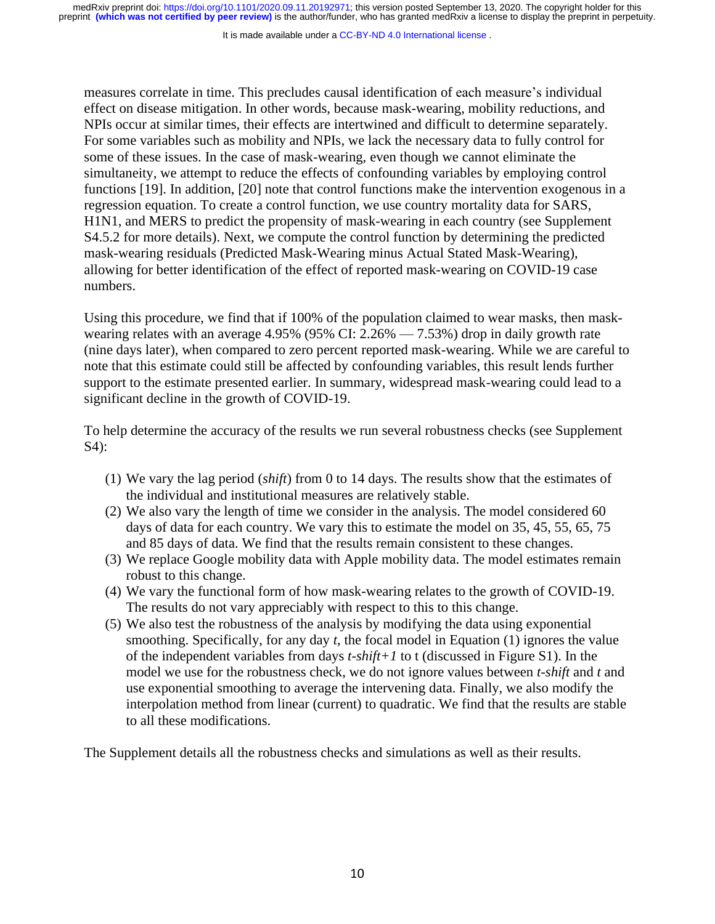It is made available under a [CC-BY-ND 4.0 International license](http://creativecommons.org/licenses/by-nd/4.0/) .

measures correlate in time. This precludes causal identification of each measure's individual effect on disease mitigation. In other words, because mask-wearing, mobility reductions, and NPIs occur at similar times, their effects are intertwined and difficult to determine separately. For some variables such as mobility and NPIs, we lack the necessary data to fully control for some of these issues. In the case of mask-wearing, even though we cannot eliminate the simultaneity, we attempt to reduce the effects of confounding variables by employing control functions [19]. In addition, [20] note that control functions make the intervention exogenous in a regression equation. To create a control function, we use country mortality data for SARS, H1N1, and MERS to predict the propensity of mask-wearing in each country (see Supplement S4.5.2 for more details). Next, we compute the control function by determining the predicted mask-wearing residuals (Predicted Mask-Wearing minus Actual Stated Mask-Wearing), allowing for better identification of the effect of reported mask-wearing on COVID-19 case numbers.

Using this procedure, we find that if 100% of the population claimed to wear masks, then maskwearing relates with an average 4.95% (95% CI:  $2.26\% - 7.53\%$ ) drop in daily growth rate (nine days later), when compared to zero percent reported mask-wearing. While we are careful to note that this estimate could still be affected by confounding variables, this result lends further support to the estimate presented earlier. In summary, widespread mask-wearing could lead to a significant decline in the growth of COVID-19.

To help determine the accuracy of the results we run several robustness checks (see Supplement S4):

- (1) We vary the lag period (*shift*) from 0 to 14 days. The results show that the estimates of the individual and institutional measures are relatively stable.
- (2) We also vary the length of time we consider in the analysis. The model considered 60 days of data for each country. We vary this to estimate the model on 35, 45, 55, 65, 75 and 85 days of data. We find that the results remain consistent to these changes.
- (3) We replace Google mobility data with Apple mobility data. The model estimates remain robust to this change.
- (4) We vary the functional form of how mask-wearing relates to the growth of COVID-19. The results do not vary appreciably with respect to this to this change.
- (5) We also test the robustness of the analysis by modifying the data using exponential smoothing. Specifically, for any day *t*, the focal model in Equation (1) ignores the value of the independent variables from days *t-shift+1* to t (discussed in Figure S1). In the model we use for the robustness check, we do not ignore values between *t-shift* and *t* and use exponential smoothing to average the intervening data. Finally, we also modify the interpolation method from linear (current) to quadratic. We find that the results are stable to all these modifications.

The Supplement details all the robustness checks and simulations as well as their results.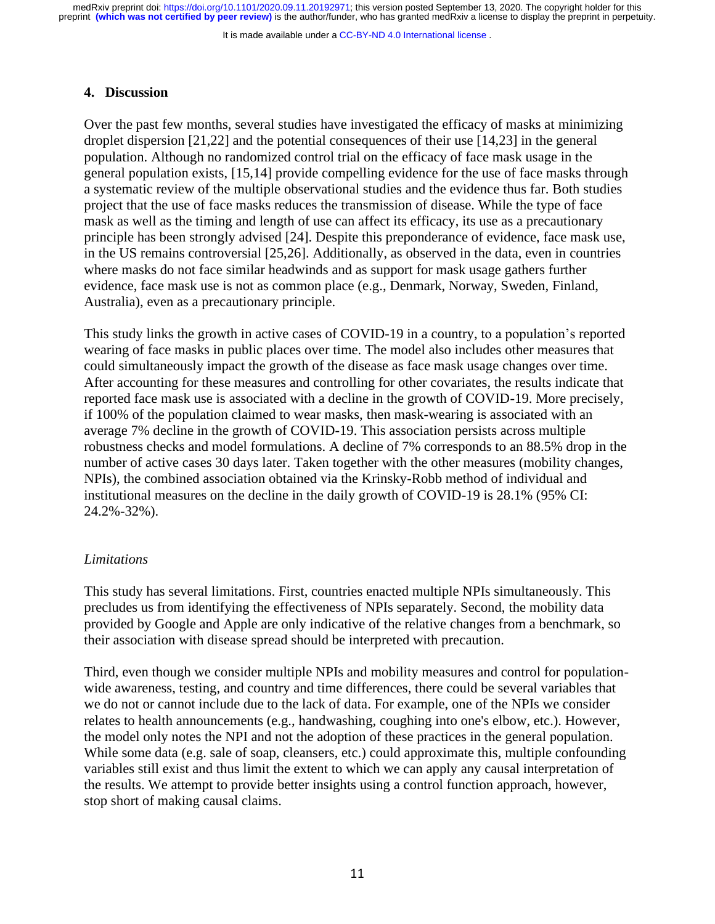It is made available under a [CC-BY-ND 4.0 International license](http://creativecommons.org/licenses/by-nd/4.0/) .

# **4. Discussion**

Over the past few months, several studies have investigated the efficacy of masks at minimizing droplet dispersion [21,22] and the potential consequences of their use [14,23] in the general population. Although no randomized control trial on the efficacy of face mask usage in the general population exists, [15,14] provide compelling evidence for the use of face masks through a systematic review of the multiple observational studies and the evidence thus far. Both studies project that the use of face masks reduces the transmission of disease. While the type of face mask as well as the timing and length of use can affect its efficacy, its use as a precautionary principle has been strongly advised [24]. Despite this preponderance of evidence, face mask use, in the US remains controversial [25,26]. Additionally, as observed in the data, even in countries where masks do not face similar headwinds and as support for mask usage gathers further evidence, face mask use is not as common place (e.g., Denmark, Norway, Sweden, Finland, Australia), even as a precautionary principle.

This study links the growth in active cases of COVID-19 in a country, to a population's reported wearing of face masks in public places over time. The model also includes other measures that could simultaneously impact the growth of the disease as face mask usage changes over time. After accounting for these measures and controlling for other covariates, the results indicate that reported face mask use is associated with a decline in the growth of COVID-19. More precisely, if 100% of the population claimed to wear masks, then mask-wearing is associated with an average 7% decline in the growth of COVID-19. This association persists across multiple robustness checks and model formulations. A decline of 7% corresponds to an 88.5% drop in the number of active cases 30 days later. Taken together with the other measures (mobility changes, NPIs), the combined association obtained via the Krinsky-Robb method of individual and institutional measures on the decline in the daily growth of COVID-19 is 28.1% (95% CI: 24.2%-32%).

# *Limitations*

This study has several limitations. First, countries enacted multiple NPIs simultaneously. This precludes us from identifying the effectiveness of NPIs separately. Second, the mobility data provided by Google and Apple are only indicative of the relative changes from a benchmark, so their association with disease spread should be interpreted with precaution.

Third, even though we consider multiple NPIs and mobility measures and control for populationwide awareness, testing, and country and time differences, there could be several variables that we do not or cannot include due to the lack of data. For example, one of the NPIs we consider relates to health announcements (e.g., handwashing, coughing into one's elbow, etc.). However, the model only notes the NPI and not the adoption of these practices in the general population. While some data (e.g. sale of soap, cleansers, etc.) could approximate this, multiple confounding variables still exist and thus limit the extent to which we can apply any causal interpretation of the results. We attempt to provide better insights using a control function approach, however, stop short of making causal claims.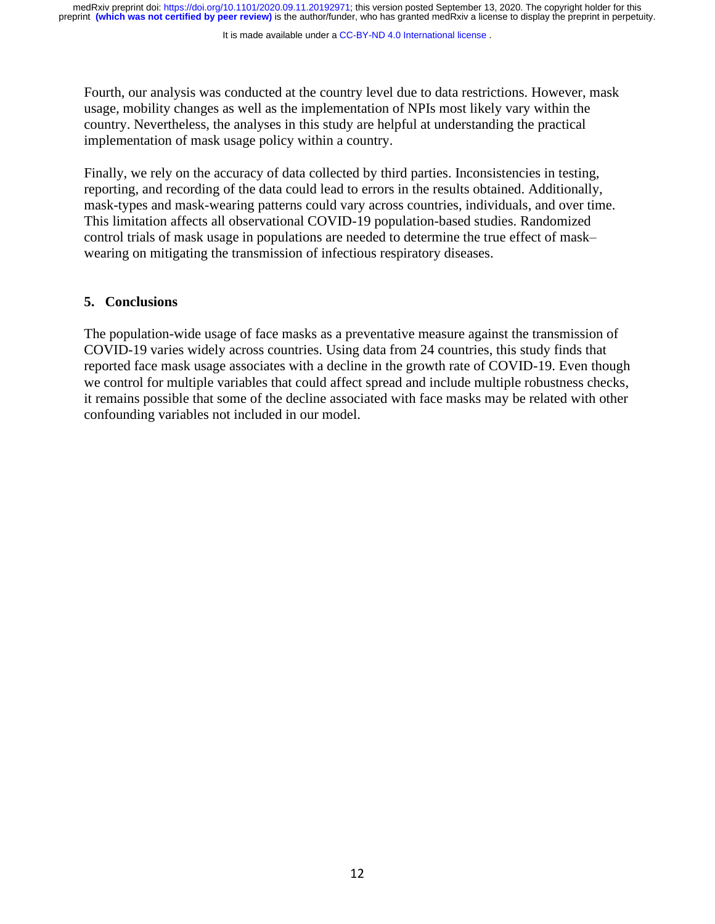It is made available under a [CC-BY-ND 4.0 International license](http://creativecommons.org/licenses/by-nd/4.0/) .

Fourth, our analysis was conducted at the country level due to data restrictions. However, mask usage, mobility changes as well as the implementation of NPIs most likely vary within the country. Nevertheless, the analyses in this study are helpful at understanding the practical implementation of mask usage policy within a country.

Finally, we rely on the accuracy of data collected by third parties. Inconsistencies in testing, reporting, and recording of the data could lead to errors in the results obtained. Additionally, mask-types and mask-wearing patterns could vary across countries, individuals, and over time. This limitation affects all observational COVID-19 population-based studies. Randomized control trials of mask usage in populations are needed to determine the true effect of mask– wearing on mitigating the transmission of infectious respiratory diseases.

# **5. Conclusions**

The population-wide usage of face masks as a preventative measure against the transmission of COVID-19 varies widely across countries. Using data from 24 countries, this study finds that reported face mask usage associates with a decline in the growth rate of COVID-19. Even though we control for multiple variables that could affect spread and include multiple robustness checks, it remains possible that some of the decline associated with face masks may be related with other confounding variables not included in our model.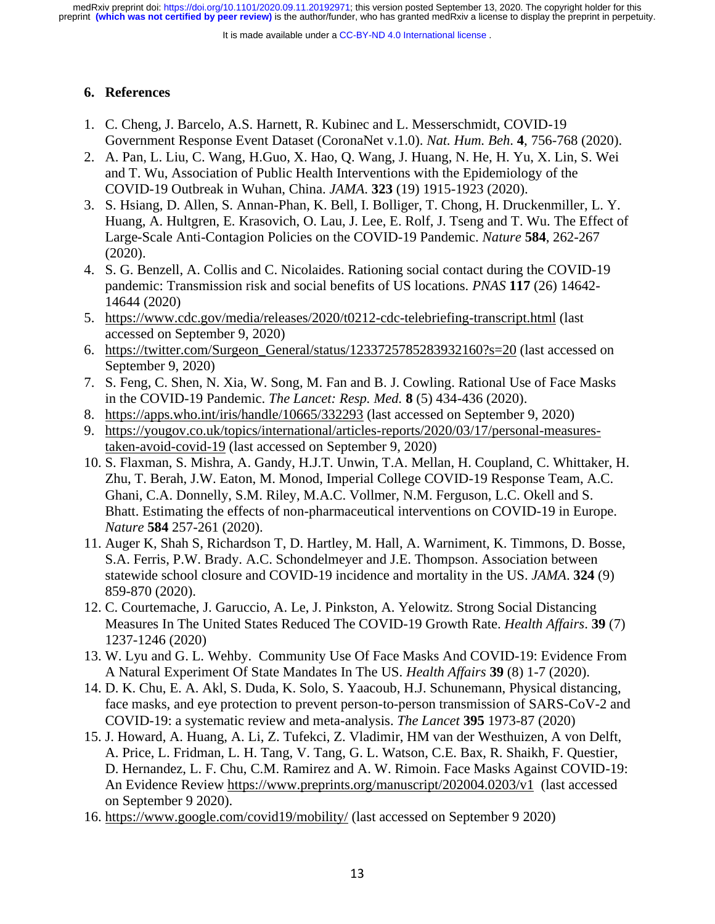It is made available under a [CC-BY-ND 4.0 International license](http://creativecommons.org/licenses/by-nd/4.0/) .

# **6. References**

- 1. C. Cheng, J. Barcelo, A.S. Harnett, R. Kubinec and L. Messerschmidt, COVID-19 Government Response Event Dataset (CoronaNet v.1.0). *Nat. Hum. Beh*. **4**, 756-768 (2020).
- 2. A. Pan, L. Liu, C. Wang, H.Guo, X. Hao, Q. Wang, J. Huang, N. He, H. Yu, X. Lin, S. Wei and T. Wu, Association of Public Health Interventions with the Epidemiology of the COVID-19 Outbreak in Wuhan, China. *JAMA*. **323** (19) 1915-1923 (2020).
- 3. S. Hsiang, D. Allen, S. Annan-Phan, K. Bell, I. Bolliger, T. Chong, H. Druckenmiller, L. Y. Huang, A. Hultgren, E. Krasovich, O. Lau, J. Lee, E. Rolf, J. Tseng and T. Wu. The Effect of Large-Scale Anti-Contagion Policies on the COVID-19 Pandemic. *Nature* **584**, 262-267 (2020).
- 4. S. G. Benzell, A. Collis and C. Nicolaides. Rationing social contact during the COVID-19 pandemic: Transmission risk and social benefits of US locations. *PNAS* **117** (26) 14642- 14644 (2020)
- 5. <https://www.cdc.gov/media/releases/2020/t0212-cdc-telebriefing-transcript.html> (last accessed on September 9, 2020)
- 6. [https://twitter.com/Surgeon\\_General/status/1233725785283932160?s=20](https://twitter.com/Surgeon_General/status/1233725785283932160?s=20) (last accessed on September 9, 2020)
- 7. S. Feng, C. Shen, N. Xia, W. Song, M. Fan and B. J. Cowling. Rational Use of Face Masks in the COVID-19 Pandemic. *The Lancet: Resp. Med.* **8** (5) 434-436 (2020).
- 8. <https://apps.who.int/iris/handle/10665/332293> (last accessed on September 9, 2020)
- 9. [https://yougov.co.uk/topics/international/articles-reports/2020/03/17/personal-measures](https://yougov.co.uk/topics/international/articles-reports/2020/03/17/personal-measures-taken-avoid-covid-19)[taken-avoid-covid-19](https://yougov.co.uk/topics/international/articles-reports/2020/03/17/personal-measures-taken-avoid-covid-19) (last accessed on September 9, 2020)
- 10. S. Flaxman, S. Mishra, A. Gandy, H.J.T. Unwin, T.A. Mellan, H. Coupland, C. Whittaker, H. Zhu, T. Berah, J.W. Eaton, M. Monod, Imperial College COVID-19 Response Team, A.C. Ghani, C.A. Donnelly, S.M. Riley, M.A.C. Vollmer, N.M. Ferguson, L.C. Okell and S. Bhatt. Estimating the effects of non-pharmaceutical interventions on COVID-19 in Europe. *Nature* **584** 257-261 (2020).
- 11. Auger K, Shah S, Richardson T, D. Hartley, M. Hall, A. Warniment, K. Timmons, D. Bosse, S.A. Ferris, P.W. Brady. A.C. Schondelmeyer and J.E. Thompson. Association between statewide school closure and COVID-19 incidence and mortality in the US. *JAMA*. **324** (9) 859-870 (2020).
- 12. C. Courtemache, J. Garuccio, A. Le, J. Pinkston, A. Yelowitz. Strong Social Distancing Measures In The United States Reduced The COVID-19 Growth Rate. *Health Affairs*. **39** (7) 1237-1246 (2020)
- 13. W. Lyu and G. L. Wehby. Community Use Of Face Masks And COVID-19: Evidence From A Natural Experiment Of State Mandates In The US. *Health Affairs* **39** (8) 1-7 (2020).
- 14. D. K. Chu, E. A. Akl, S. Duda, K. Solo, S. Yaacoub, H.J. Schunemann, Physical distancing, face masks, and eye protection to prevent person-to-person transmission of SARS-CoV-2 and COVID-19: a systematic review and meta-analysis. *The Lancet* **395** 1973-87 (2020)
- 15. J. Howard, A. Huang, A. Li, Z. Tufekci, Z. Vladimir, HM van der Westhuizen, A von Delft, A. Price, L. Fridman, L. H. Tang, V. Tang, G. L. Watson, C.E. Bax, R. Shaikh, F. Questier, D. Hernandez, L. F. Chu, C.M. Ramirez and A. W. Rimoin. Face Masks Against COVID-19: An Evidence Review<https://www.preprints.org/manuscript/202004.0203/v1> (last accessed on September 9 2020).
- 16. <https://www.google.com/covid19/mobility/> (last accessed on September 9 2020)